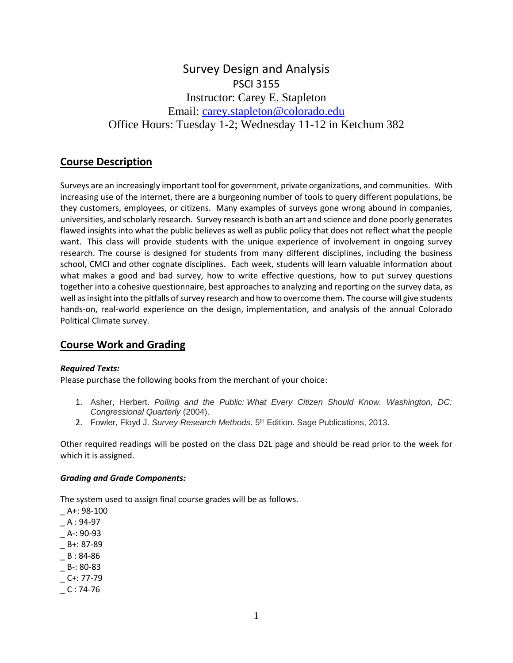# Survey Design and Analysis PSCI 3155 Instructor: Carey E. Stapleton Email: [carey.stapleton@colorado.edu](mailto:carey.stapleton@colorado.edu) Office Hours: Tuesday 1-2; Wednesday 11-12 in Ketchum 382

## **Course Description**

Surveys are an increasingly important tool for government, private organizations, and communities. With increasing use of the internet, there are a burgeoning number of tools to query different populations, be they customers, employees, or citizens. Many examples of surveys gone wrong abound in companies, universities, and scholarly research. Survey research is both an art and science and done poorly generates flawed insights into what the public believes as well as public policy that does not reflect what the people want. This class will provide students with the unique experience of involvement in ongoing survey research. The course is designed for students from many different disciplines, including the business school, CMCI and other cognate disciplines. Each week, students will learn valuable information about what makes a good and bad survey, how to write effective questions, how to put survey questions together into a cohesive questionnaire, best approaches to analyzing and reporting on the survey data, as well as insight into the pitfalls of survey research and how to overcome them. The course will give students hands-on, real-world experience on the design, implementation, and analysis of the annual Colorado Political Climate survey.

### **Course Work and Grading**

#### *Required Texts:*

Please purchase the following books from the merchant of your choice:

- 1. Asher, Herbert. *Polling and the Public: What Every Citizen Should Know. Washington, DC: Congressional Quarterly* (2004).
- 2. Fowler, Floyd J. Survey Research Methods. 5<sup>th</sup> Edition. Sage Publications, 2013.

Other required readings will be posted on the class D2L page and should be read prior to the week for which it is assigned.

#### *Grading and Grade Components:*

The system used to assign final course grades will be as follows.

 $-$  A+: 98-100

- $A : 94-97$
- $-$  A-: 90-93
- \_ B+: 87-89
- $-B : 84-86$
- $-B-: 80-83$
- $C + 77 79$
- $C: 74-76$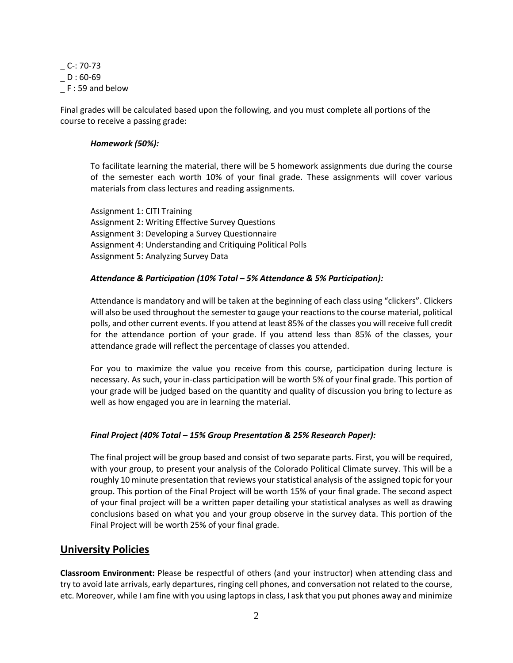$C: 70-73$  $D : 60-69$ \_ F : 59 and below

Final grades will be calculated based upon the following, and you must complete all portions of the course to receive a passing grade:

#### *Homework (50%):*

To facilitate learning the material, there will be 5 homework assignments due during the course of the semester each worth 10% of your final grade. These assignments will cover various materials from class lectures and reading assignments.

Assignment 1: CITI Training Assignment 2: Writing Effective Survey Questions Assignment 3: Developing a Survey Questionnaire Assignment 4: Understanding and Critiquing Political Polls Assignment 5: Analyzing Survey Data

#### *Attendance & Participation (10% Total – 5% Attendance & 5% Participation):*

Attendance is mandatory and will be taken at the beginning of each class using "clickers". Clickers will also be used throughout the semester to gauge your reactions to the course material, political polls, and other current events. If you attend at least 85% of the classes you will receive full credit for the attendance portion of your grade. If you attend less than 85% of the classes, your attendance grade will reflect the percentage of classes you attended.

For you to maximize the value you receive from this course, participation during lecture is necessary. As such, your in-class participation will be worth 5% of your final grade. This portion of your grade will be judged based on the quantity and quality of discussion you bring to lecture as well as how engaged you are in learning the material.

#### *Final Project (40% Total – 15% Group Presentation & 25% Research Paper):*

The final project will be group based and consist of two separate parts. First, you will be required, with your group, to present your analysis of the Colorado Political Climate survey. This will be a roughly 10 minute presentation that reviews your statistical analysis of the assigned topic for your group. This portion of the Final Project will be worth 15% of your final grade. The second aspect of your final project will be a written paper detailing your statistical analyses as well as drawing conclusions based on what you and your group observe in the survey data. This portion of the Final Project will be worth 25% of your final grade.

### **University Policies**

**Classroom Environment:** Please be respectful of others (and your instructor) when attending class and try to avoid late arrivals, early departures, ringing cell phones, and conversation not related to the course, etc. Moreover, while I am fine with you using laptops in class, I ask that you put phones away and minimize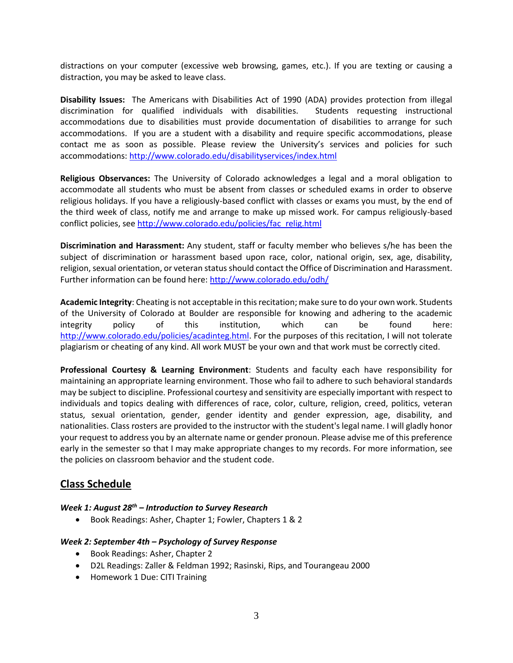distractions on your computer (excessive web browsing, games, etc.). If you are texting or causing a distraction, you may be asked to leave class.

**Disability Issues:** The Americans with Disabilities Act of 1990 (ADA) provides protection from illegal discrimination for qualified individuals with disabilities. Students requesting instructional accommodations due to disabilities must provide documentation of disabilities to arrange for such accommodations. If you are a student with a disability and require specific accommodations, please contact me as soon as possible. Please review the University's services and policies for such accommodations:<http://www.colorado.edu/disabilityservices/index.html>

**Religious Observances:** The University of Colorado acknowledges a legal and a moral obligation to accommodate all students who must be absent from classes or scheduled exams in order to observe religious holidays. If you have a religiously-based conflict with classes or exams you must, by the end of the third week of class, notify me and arrange to make up missed work. For campus religiously-based conflict policies, see [http://www.colorado.edu/policies/fac\\_relig.html](http://www.colorado.edu/policies/fac_relig.html)

**Discrimination and Harassment:** Any student, staff or faculty member who believes s/he has been the subject of discrimination or harassment based upon race, color, national origin, sex, age, disability, religion, sexual orientation, or veteran status should contact the Office of Discrimination and Harassment. Further information can be found here:<http://www.colorado.edu/odh/>

**Academic Integrity**: Cheating is not acceptable in this recitation; make sure to do your own work. Students of the University of Colorado at Boulder are responsible for knowing and adhering to the academic integrity policy of this institution, which can be found here: [http://www.colorado.edu/policies/acadinteg.html.](http://www.colorado.edu/policies/acadinteg.html) For the purposes of this recitation, I will not tolerate plagiarism or cheating of any kind. All work MUST be your own and that work must be correctly cited.

**Professional Courtesy & Learning Environment**: Students and faculty each have responsibility for maintaining an appropriate learning environment. Those who fail to adhere to such behavioral standards may be subject to discipline. Professional courtesy and sensitivity are especially important with respect to individuals and topics dealing with differences of race, color, culture, religion, creed, politics, veteran status, sexual orientation, gender, gender identity and gender expression, age, disability, and nationalities. Class rosters are provided to the instructor with the student's legal name. I will gladly honor your request to address you by an alternate name or gender pronoun. Please advise me of this preference early in the semester so that I may make appropriate changes to my records. For more information, see the policies on classroom behavior and the student code.

## **Class Schedule**

### *Week 1: August 28th – Introduction to Survey Research*

• Book Readings: Asher, Chapter 1; Fowler, Chapters 1 & 2

#### *Week 2: September 4th – Psychology of Survey Response*

- Book Readings: Asher, Chapter 2
- D2L Readings: Zaller & Feldman 1992; Rasinski, Rips, and Tourangeau 2000
- Homework 1 Due: CITI Training